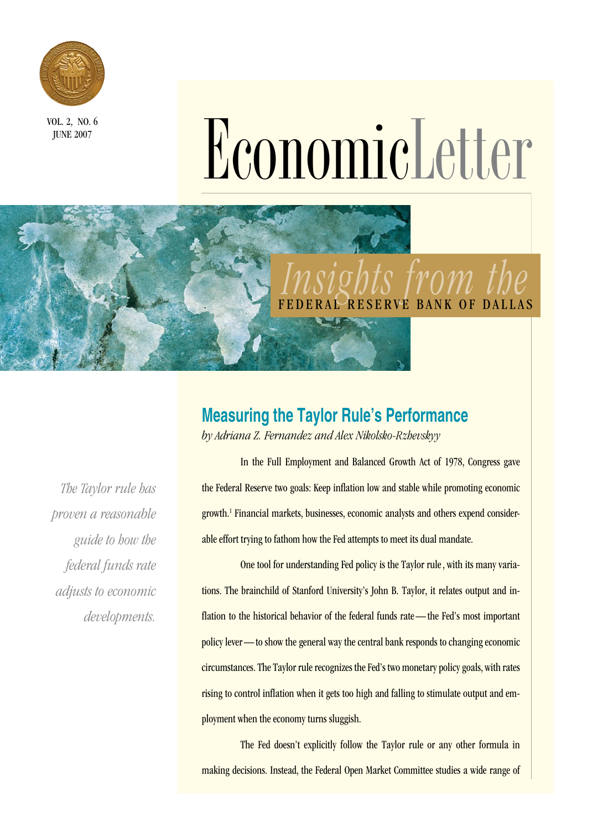

**JUNE 2007** 

# VOL. 2, NO. 6<br>Economic Detter

# *Insights from the*  RVE BANK OF DALLAS

### **Measuring the Taylor Rule's Performance**

*by Adriana Z. Fernandez and Alex Nikolsko-Rzhevskyy*

*The Taylor rule has proven a reasonable guide to how the federal funds rate adjusts to economic developments.* 

In the Full Employment and Balanced Growth Act of 1978, Congress gave the Federal Reserve two goals: Keep inflation low and stable while promoting economic growth.1 Financial markets, businesses, economic analysts and others expend considerable effort trying to fathom how the Fed attempts to meet its dual mandate.

One tool for understanding Fed policy is the Taylor rule , with its many variations. The brainchild of Stanford University's John B. Taylor, it relates output and inflation to the historical behavior of the federal funds rate — the Fed's most important policy lever — to show the general way the central bank responds to changing economic circumstances. The Taylor rule recognizes the Fed's two monetary policy goals, with rates rising to control inflation when it gets too high and falling to stimulate output and employment when the economy turns sluggish.

 The Fed doesn't explicitly follow the Taylor rule or any other formula in making decisions. Instead, the Federal Open Market Committee studies a wide range of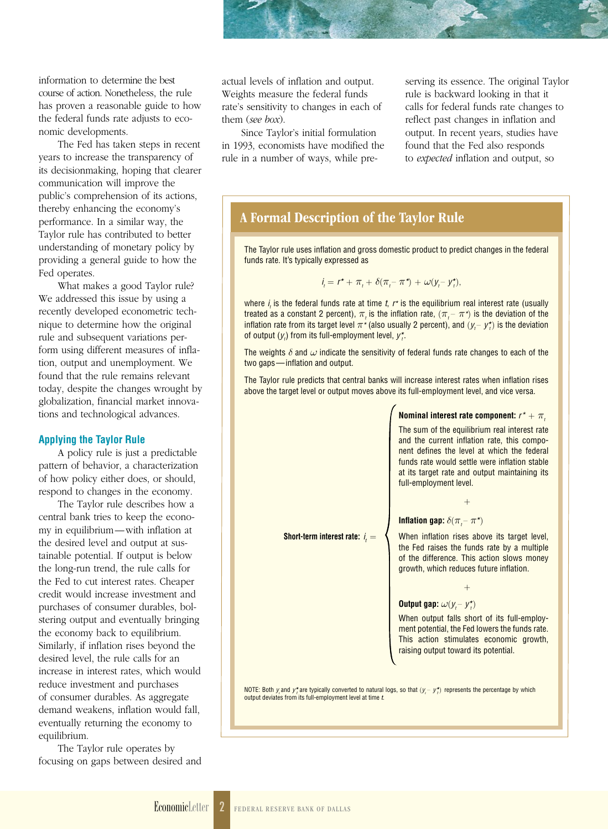information to determine the best course of action. Nonetheless, the rule has proven a reasonable guide to how the federal funds rate adjusts to economic developments.

The Fed has taken steps in recent years to increase the transparency of its decisionmaking, hoping that clearer communication will improve the public's comprehension of its actions, thereby enhancing the economy's performance. In a similar way, the Taylor rule has contributed to better understanding of monetary policy by providing a general guide to how the Fed operates.

What makes a good Taylor rule? We addressed this issue by using a recently developed econometric technique to determine how the original rule and subsequent variations perform using different measures of inflation, output and unemployment. We found that the rule remains relevant today, despite the changes wrought by globalization, financial market innovations and technological advances.

#### **Applying the Taylor Rule**

A policy rule is just a predictable pattern of behavior, a characterization of how policy either does, or should, respond to changes in the economy.

The Taylor rule describes how a central bank tries to keep the economy in equilibrium—with inflation at the desired level and output at sustainable potential. If output is below the long-run trend, the rule calls for the Fed to cut interest rates. Cheaper credit would increase investment and purchases of consumer durables, bolstering output and eventually bringing the economy back to equilibrium. Similarly, if inflation rises beyond the desired level, the rule calls for an increase in interest rates, which would reduce investment and purchases of consumer durables. As aggregate demand weakens, inflation would fall, eventually returning the economy to equilibrium.

The Taylor rule operates by focusing on gaps between desired and actual levels of inflation and output. Weights measure the federal funds rate's sensitivity to changes in each of them (*see box*).

Since Taylor's initial formulation in 1993, economists have modified the rule in a number of ways, while preserving its essence. The original Taylor rule is backward looking in that it calls for federal funds rate changes to reflect past changes in inflation and output. In recent years, studies have found that the Fed also responds to *expected* inflation and output, so

#### A Formal Description of the Taylor Rule

The Taylor rule uses inflation and gross domestic product to predict changes in the federal funds rate. It's typically expressed as

$$
i_t = r^* + \pi_t + \delta(\pi_t - \pi^*) + \omega(y_t - y_t^*)
$$

where *i t* is the federal funds rate at time *t*, *r\** is the equilibrium real interest rate (usually treated as a constant 2 percent),  $\pi_t$  is the inflation rate,  $(\pi_t-\pi^\star)$  is the deviation of the inflation rate from its target level  $\pi$ <sup>*\**</sup> (also usually 2 percent), and  $(y - y^*)$  is the deviation of output  $(y<sub>i</sub>)$  from its full-employment level,  $y<sub>i</sub><sup>*</sup>$ .

The weights  $\delta$  and  $\omega$  indicate the sensitivity of federal funds rate changes to each of the two gaps—inflation and output.

The Taylor rule predicts that central banks will increase interest rates when inflation rises above the target level or output moves above its full-employment level, and vice versa.

**Nominal interest rate component:**  $r^* + \pi$ <sub>t</sub> The sum of the equilibrium real interest rate and the current inflation rate, this component defines the level at which the federal funds rate would settle were inflation stable at its target rate and output maintaining its full-employment level. + **Inflation gap:**  $\delta(\pi_i - \pi^*)$  **Short-term interest rate:** *i* When inflation rises above its target level, the Fed raises the funds rate by a multiple of the difference. This action slows money growth, which reduces future inflation. + **Output gap:**  $\omega(y - y^*)$ When output falls short of its full-employment potential, the Fed lowers the funds rate. This action stimulates economic growth, raising output toward its potential. NOTE: Both *y*<sub>*a*</sub> and *y*<sup>*\**</sup><sub>*t*</sub> are typically converted to natural logs, so that  $(y - y^*)$  represents the percentage by which output deviates from its full-employment level at time *t*.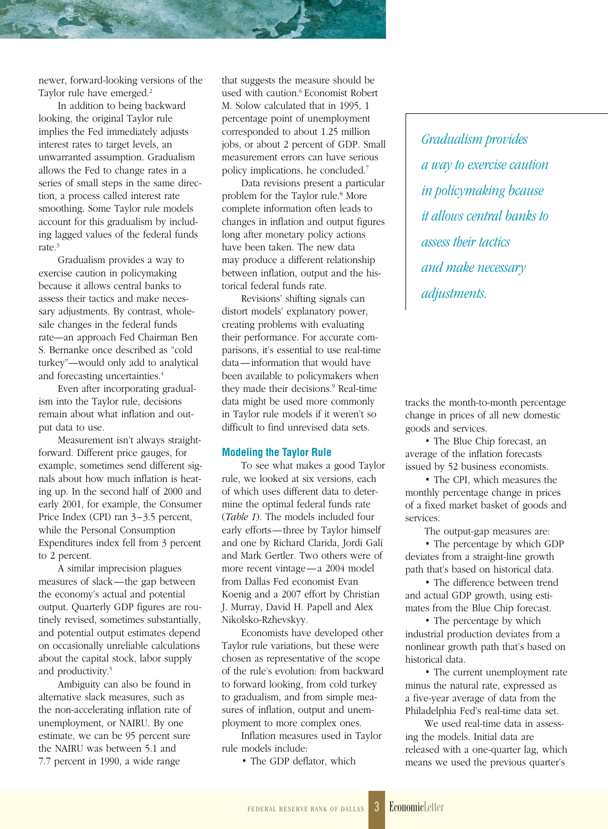newer, forward-looking versions of the Taylor rule have emerged.<sup>2</sup>

In addition to being backward looking, the original Taylor rule implies the Fed immediately adjusts interest rates to target levels, an unwarranted assumption. Gradualism allows the Fed to change rates in a series of small steps in the same direction, a process called interest rate smoothing. Some Taylor rule models account for this gradualism by including lagged values of the federal funds rate.3

Gradualism provides a way to exercise caution in policymaking because it allows central banks to assess their tactics and make necessary adjustments. By contrast, wholesale changes in the federal funds rate—an approach Fed Chairman Ben S. Bernanke once described as "cold turkey"—would only add to analytical and forecasting uncertainties.<sup>4</sup>

Even after incorporating gradualism into the Taylor rule, decisions remain about what inflation and output data to use.

Measurement isn't always straightforward. Different price gauges, for example, sometimes send different signals about how much inflation is heating up. In the second half of 2000 and early 2001, for example, the Consumer Price Index (CPI) ran 3-3.5 percent, while the Personal Consumption Expenditures index fell from 3 percent to 2 percent.

A similar imprecision plagues measures of slack—the gap between the economy's actual and potential output. Quarterly GDP figures are routinely revised, sometimes substantially, and potential output estimates depend on occasionally unreliable calculations about the capital stock, labor supply and productivity.<sup>5</sup>

Ambiguity can also be found in alternative slack measures, such as the non-accelerating inflation rate of unemployment, or NAIRU. By one estimate, we can be 95 percent sure the NAIRU was between 5.1 and 7.7 percent in 1990, a wide range

that suggests the measure should be used with caution.<sup>6</sup> Economist Robert M. Solow calculated that in 1995, 1 percentage point of unemployment corresponded to about 1.25 million jobs, or about 2 percent of GDP. Small measurement errors can have serious policy implications, he concluded.7

Data revisions present a particular problem for the Taylor rule.<sup>8</sup> More complete information often leads to changes in inflation and output figures long after monetary policy actions have been taken. The new data may produce a different relationship between inflation, output and the historical federal funds rate.

Revisions' shifting signals can distort models' explanatory power, creating problems with evaluating their performance. For accurate comparisons, it's essential to use real-time data—information that would have been available to policymakers when they made their decisions.<sup>9</sup> Real-time data might be used more commonly in Taylor rule models if it weren't so difficult to find unrevised data sets.

#### **Modeling the Taylor Rule**

To see what makes a good Taylor rule, we looked at six versions, each of which uses different data to determine the optimal federal funds rate (*Table 1*). The models included four early efforts—three by Taylor himself and one by Richard Clarida, Jordi Galí and Mark Gertler. Two others were of more recent vintage—a 2004 model from Dallas Fed economist Evan Koenig and a 2007 effort by Christian J. Murray, David H. Papell and Alex Nikolsko-Rzhevskyy.

Economists have developed other Taylor rule variations, but these were chosen as representative of the scope of the rule's evolution: from backward to forward looking, from cold turkey to gradualism, and from simple measures of inflation, output and unemployment to more complex ones.

Inflation measures used in Taylor rule models include:

• The GDP deflator, which

*Gradualism provides a way to exercise caution in policymaking bcause it allows central banks to assess their tactics and make necessary adjustments.* 

tracks the month-to-month percentage change in prices of all new domestic goods and services.

• The Blue Chip forecast, an average of the inflation forecasts issued by 52 business economists.

• The CPI, which measures the monthly percentage change in prices of a fixed market basket of goods and services.

The output-gap measures are:

• The percentage by which GDP deviates from a straight-line growth path that's based on historical data.

• The difference between trend and actual GDP growth, using estimates from the Blue Chip forecast.

• The percentage by which industrial production deviates from a nonlinear growth path that's based on historical data.

• The current unemployment rate minus the natural rate, expressed as a five-year average of data from the Philadelphia Fed's real-time data set.

We used real-time data in assessing the models. Initial data are released with a one-quarter lag, which means we used the previous quarter's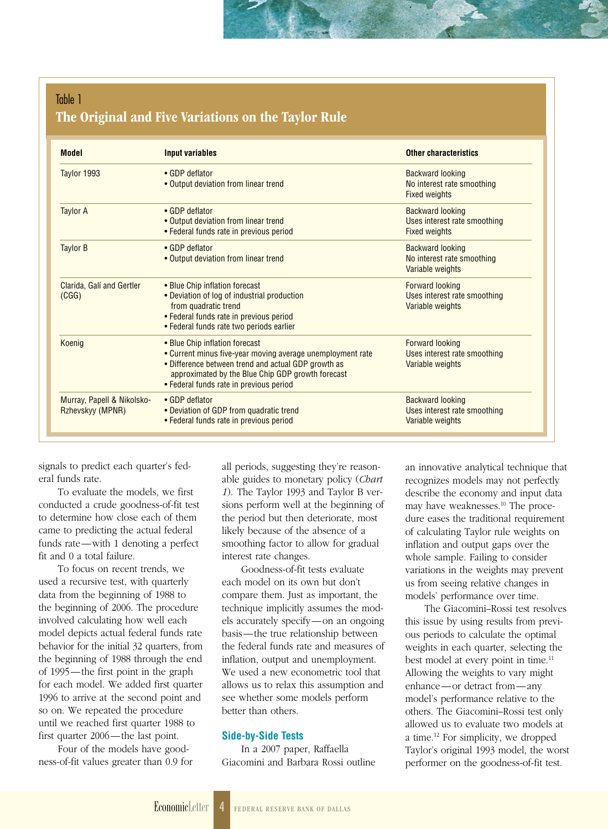#### Table 1 The Original and Five Variations on the Taylor Rule

| <b>Model</b>                                   | <b>Input variables</b>                                                                                                                                                                                                                              | <b>Other characteristics</b>                                                    |
|------------------------------------------------|-----------------------------------------------------------------------------------------------------------------------------------------------------------------------------------------------------------------------------------------------------|---------------------------------------------------------------------------------|
| Taylor 1993                                    | • GDP deflator<br>• Output deviation from linear trend                                                                                                                                                                                              | <b>Backward looking</b><br>No interest rate smoothing<br><b>Fixed weights</b>   |
| <b>Taylor A</b>                                | • GDP deflator<br>• Output deviation from linear trend<br>• Federal funds rate in previous period                                                                                                                                                   | <b>Backward looking</b><br>Uses interest rate smoothing<br><b>Fixed weights</b> |
| <b>Taylor B</b>                                | • GDP deflator<br>• Output deviation from linear trend                                                                                                                                                                                              | <b>Backward looking</b><br>No interest rate smoothing<br>Variable weights       |
| Clarida, Galí and Gertler<br>(CGG)             | • Blue Chip inflation forecast<br>• Deviation of log of industrial production<br>from quadratic trend<br>• Federal funds rate in previous period<br>• Federal funds rate two periods earlier                                                        | <b>Forward looking</b><br>Uses interest rate smoothing<br>Variable weights      |
| Koenig                                         | • Blue Chip inflation forecast<br>• Current minus five-year moving average unemployment rate<br>• Difference between trend and actual GDP growth as<br>approximated by the Blue Chip GDP growth forecast<br>• Federal funds rate in previous period | <b>Forward looking</b><br>Uses interest rate smoothing<br>Variable weights      |
| Murray, Papell & Nikolsko-<br>Rzhevskyy (MPNR) | • GDP deflator<br>• Deviation of GDP from quadratic trend<br>• Federal funds rate in previous period                                                                                                                                                | <b>Backward looking</b><br>Uses interest rate smoothing<br>Variable weights     |

signals to predict each quarter's federal funds rate.

To evaluate the models, we first conducted a crude goodness-of-fit test to determine how close each of them came to predicting the actual federal funds rate—with 1 denoting a perfect fit and 0 a total failure.

To focus on recent trends, we used a recursive test, with quarterly data from the beginning of 1988 to the beginning of 2006. The procedure involved calculating how well each model depicts actual federal funds rate behavior for the initial 32 quarters, from the beginning of 1988 through the end of 1995—the first point in the graph for each model. We added first quarter 1996 to arrive at the second point and so on. We repeated the procedure until we reached first quarter 1988 to first quarter 2006—the last point.

Four of the models have goodness-of-fit values greater than 0.9 for all periods, suggesting they're reasonable guides to monetary policy (*Chart 1*). The Taylor 1993 and Taylor B versions perform well at the beginning of the period but then deteriorate, most likely because of the absence of a smoothing factor to allow for gradual interest rate changes.

Goodness-of-fit tests evaluate each model on its own but don't compare them. Just as important, the technique implicitly assumes the models accurately specify—on an ongoing basis—the true relationship between the federal funds rate and measures of inflation, output and unemployment. We used a new econometric tool that allows us to relax this assumption and see whether some models perform better than others.

#### **Side-by-Side Tests**

In a 2007 paper, Raffaella Giacomini and Barbara Rossi outline an innovative analytical technique that recognizes models may not perfectly describe the economy and input data may have weaknesses.<sup>10</sup> The procedure eases the traditional requirement of calculating Taylor rule weights on inflation and output gaps over the whole sample. Failing to consider variations in the weights may prevent us from seeing relative changes in models' performance over time.

The Giacomini–Rossi test resolves this issue by using results from previous periods to calculate the optimal weights in each quarter, selecting the best model at every point in time.<sup>11</sup> Allowing the weights to vary might enhance—or detract from—any model's performance relative to the others. The Giacomini–Rossi test only allowed us to evaluate two models at a time.12 For simplicity, we dropped Taylor's original 1993 model, the worst performer on the goodness-of-fit test.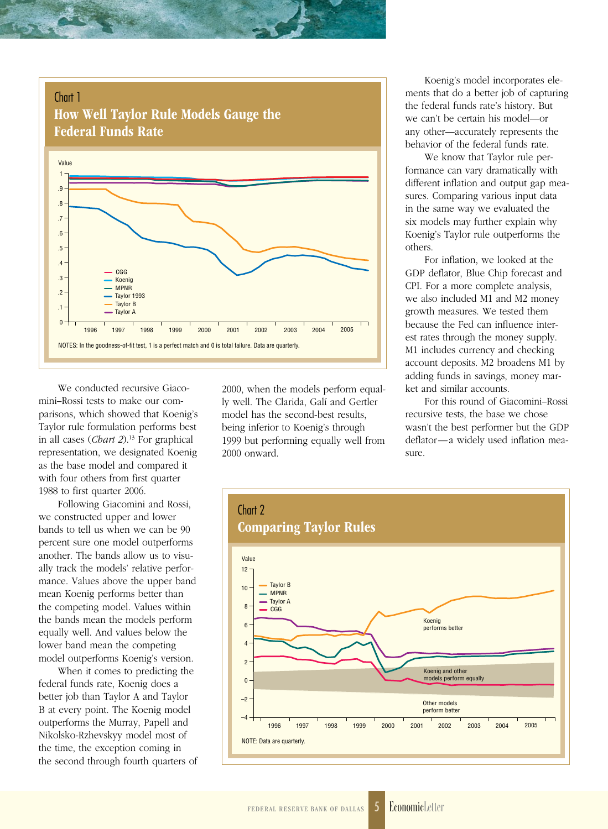

We conducted recursive Giacomini–Rossi tests to make our comparisons, which showed that Koenig's Taylor rule formulation performs best in all cases (*Chart 2*).13 For graphical representation, we designated Koenig as the base model and compared it with four others from first quarter 1988 to first quarter 2006.

Following Giacomini and Rossi, we constructed upper and lower bands to tell us when we can be 90 percent sure one model outperforms another. The bands allow us to visually track the models' relative performance. Values above the upper band mean Koenig performs better than the competing model. Values within the bands mean the models perform equally well. And values below the lower band mean the competing model outperforms Koenig's version.

When it comes to predicting the federal funds rate, Koenig does a better job than Taylor A and Taylor B at every point. The Koenig model outperforms the Murray, Papell and Nikolsko-Rzhevskyy model most of the time, the exception coming in the second through fourth quarters of

2000, when the models perform equally well. The Clarida, Galí and Gertler model has the second-best results, being inferior to Koenig's through 1999 but performing equally well from 2000 onward.

Koenig's model incorporates elements that do a better job of capturing the federal funds rate's history. But we can't be certain his model—or any other—accurately represents the behavior of the federal funds rate.

We know that Taylor rule performance can vary dramatically with different inflation and output gap measures. Comparing various input data in the same way we evaluated the six models may further explain why Koenig's Taylor rule outperforms the others.

For inflation, we looked at the GDP deflator, Blue Chip forecast and CPI. For a more complete analysis, we also included M1 and M2 money growth measures. We tested them because the Fed can influence interest rates through the money supply. M1 includes currency and checking account deposits. M2 broadens M1 by adding funds in savings, money market and similar accounts.

For this round of Giacomini–Rossi recursive tests, the base we chose wasn't the best performer but the GDP deflator—a widely used inflation measure.

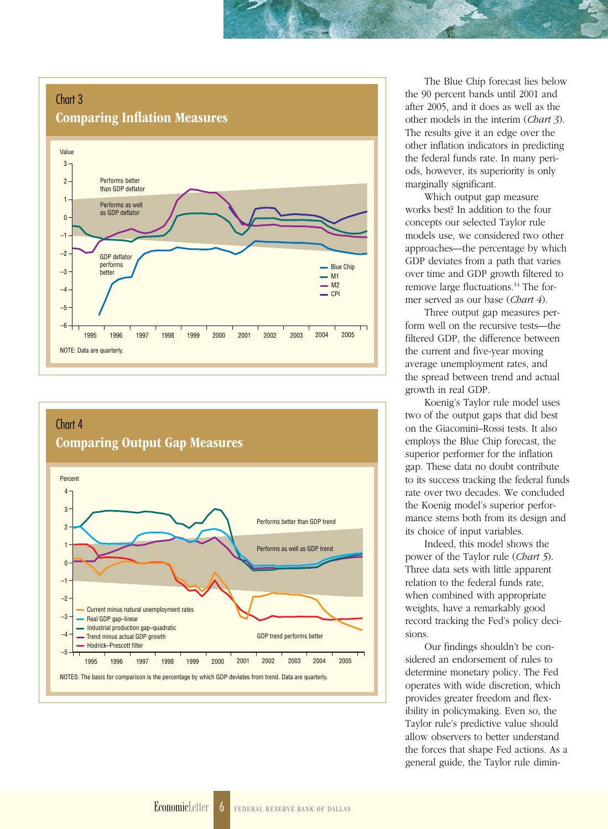#### Chart 3 Comparing Inflation Measures





The Blue Chip forecast lies below the 90 percent bands until 2001 and after 2005, and it does as well as the other models in the interim (*Chart 3*). The results give it an edge over the other inflation indicators in predicting the federal funds rate. In many periods, however, its superiority is only marginally significant.

Which output gap measure works best? In addition to the four concepts our selected Taylor rule models use, we considered two other approaches—the percentage by which GDP deviates from a path that varies over time and GDP growth filtered to remove large fluctuations.<sup>14</sup> The former served as our base (*Chart 4*).

Three output gap measures perform well on the recursive tests—the filtered GDP, the difference between the current and five-year moving average unemployment rates, and the spread between trend and actual growth in real GDP.

Koenig's Taylor rule model uses two of the output gaps that did best on the Giacomini–Rossi tests. It also employs the Blue Chip forecast, the superior performer for the inflation gap. These data no doubt contribute to its success tracking the federal funds rate over two decades. We concluded the Koenig model's superior performance stems both from its design and its choice of input variables.

Indeed, this model shows the power of the Taylor rule (*Chart 5*). Three data sets with little apparent relation to the federal funds rate, when combined with appropriate weights, have a remarkably good record tracking the Fed's policy decisions.

Our findings shouldn't be considered an endorsement of rules to determine monetary policy. The Fed operates with wide discretion, which provides greater freedom and flexibility in policymaking. Even so, the Taylor rule's predictive value should allow observers to better understand the forces that shape Fed actions. As a general guide, the Taylor rule dimin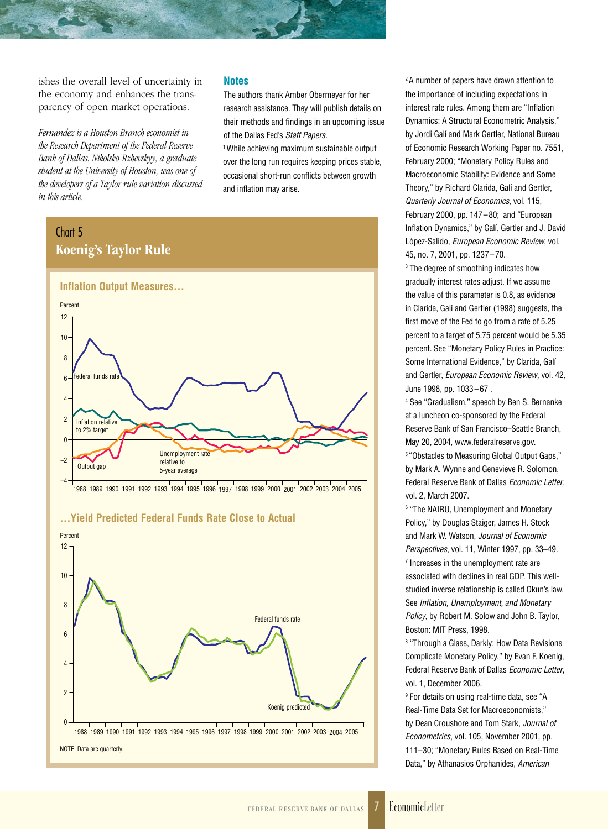ishes the overall level of uncertainty in the economy and enhances the transparency of open market operations.

*Fernandez is a Houston Branch economist in the Research Department of the Federal Reserve Bank of Dallas. Nikolsko-Rzhevskyy, a graduate student at the University of Houston, was one of the developers of a Taylor rule variation discussed in this article.*

NOTE: Data are quarterly.

 $\mathsf{O}$ 

 $\overline{2}$ 

#### **Notes**

The authors thank Amber Obermeyer for her research assistance. They will publish details on their methods and findings in an upcoming issue of the Dallas Fed's *Staff Papers*.

1 While achieving maximum sustainable output over the long run requires keeping prices stable, occasional short-run conflicts between growth and inflation may arise.



1988 1989 1990 1991 1992 1993 1994 1995 1996 1997 1998 1999 2000 2001 2002 2003 2004 2005

2 A number of papers have drawn attention to the importance of including expectations in interest rate rules. Among them are "Inflation Dynamics: A Structural Econometric Analysis," by Jordi Galí and Mark Gertler, National Bureau of Economic Research Working Paper no. 7551, February 2000; "Monetary Policy Rules and Macroeconomic Stability: Evidence and Some Theory," by Richard Clarida, Galí and Gertler, *Quarterly Journal of Economics*, vol. 115, February 2000, pp. 147–80; and "European Inflation Dynamics," by Galí, Gertler and J. David López-Salido, *European Economic Review*, vol. 45, no. 7, 2001, pp. 1237–70.

3 The degree of smoothing indicates how gradually interest rates adjust. If we assume the value of this parameter is 0.8, as evidence in Clarida, Galí and Gertler (1998) suggests, the first move of the Fed to go from a rate of 5.25 percent to a target of 5.75 percent would be 5.35 percent. See "Monetary Policy Rules in Practice: Some International Evidence," by Clarida, Galí and Gertler, *European Economic Review,* vol. 42, June 1998, pp. 1033–67 .

4 See "Gradualism," speech by Ben S. Bernanke at a luncheon co-sponsored by the Federal Reserve Bank of San Francisco–Seattle Branch, May 20, 2004, www.federalreserve.gov. 5 "Obstacles to Measuring Global Output Gaps,"

by Mark A. Wynne and Genevieve R. Solomon, Federal Reserve Bank of Dallas *Economic Letter,* vol. 2, March 2007.

6 "The NAIRU, Unemployment and Monetary Policy," by Douglas Staiger, James H. Stock and Mark W. Watson, *Journal of Economic Perspectives*, vol. 11, Winter 1997, pp. 33–49. 7 Increases in the unemployment rate are associated with declines in real GDP. This wellstudied inverse relationship is called Okun's law. See *Inflation, Unemployment, and Monetary Policy*, by Robert M. Solow and John B. Taylor, Boston: MIT Press, 1998.

8 "Through a Glass, Darkly: How Data Revisions Complicate Monetary Policy," by Evan F. Koenig, Federal Reserve Bank of Dallas *Economic Letter*, vol. 1, December 2006.

9 For details on using real-time data, see "A Real-Time Data Set for Macroeconomists," by Dean Croushore and Tom Stark, *Journal of Econometrics*, vol. 105, November 2001, pp. 111–30; "Monetary Rules Based on Real-Time Data," by Athanasios Orphanides, *American* 

Koenig predicted